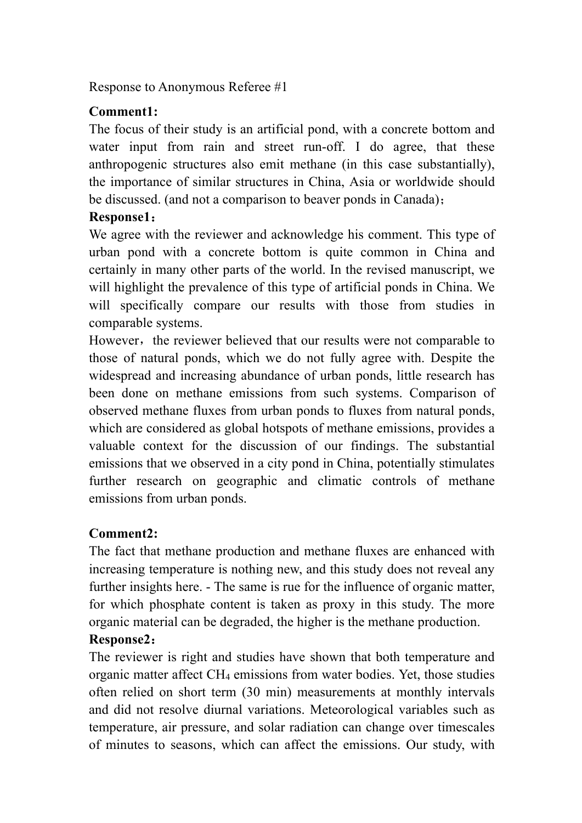Response to Anonymous Referee #1

## **Comment1:**

The focus of their study is an artificial pond, with a concrete bottom and water input from rain and street run-off. I do agree, that these anthropogenic structures also emit methane (in this case substantially), the importance of similar structures in China, Asia or worldwide should be discussed. (and not a comparison to beaver ponds in Canada);

### **Response1**:

We agree with the reviewer and acknowledge his comment. This type of urban pond with a concrete bottom is quite common in China and certainly in many other parts of the world. In the revised manuscript, we will highlight the prevalence of this type of artificial ponds in China. We will specifically compare our results with those from studies in comparable systems.

However, the reviewer believed that our results were not comparable to those of natural ponds, which we do not fully agree with. Despite the widespread and increasing abundance of urban ponds, little research has been done on methane emissions from such systems. Comparison of observed methane fluxes from urban ponds to fluxes from natural ponds, which are considered as global hotspots of methane emissions, provides a valuable context for the discussion of our findings. The substantial emissions that we observed in a city pond in China, potentially stimulates further research on geographic and climatic controls of methane emissions from urban ponds.

# **Comment2:**

The fact that methane production and methane fluxes are enhanced with increasing temperature is nothing new, and this study does not reveal any further insights here. - The same is rue for the influence of organic matter, for which phosphate content is taken as proxy in this study. The more organic material can be degraded, the higher is the methane production.

# **Response2**:

The reviewer is right and studies have shown that both temperature and organic matter affect CH4 emissions from water bodies. Yet, those studies often relied on short term (30 min) measurements at monthly intervals and did not resolve diurnal variations. Meteorological variables such as temperature, air pressure, and solar radiation can change over timescales of minutes to seasons, which can affect the emissions. Our study, with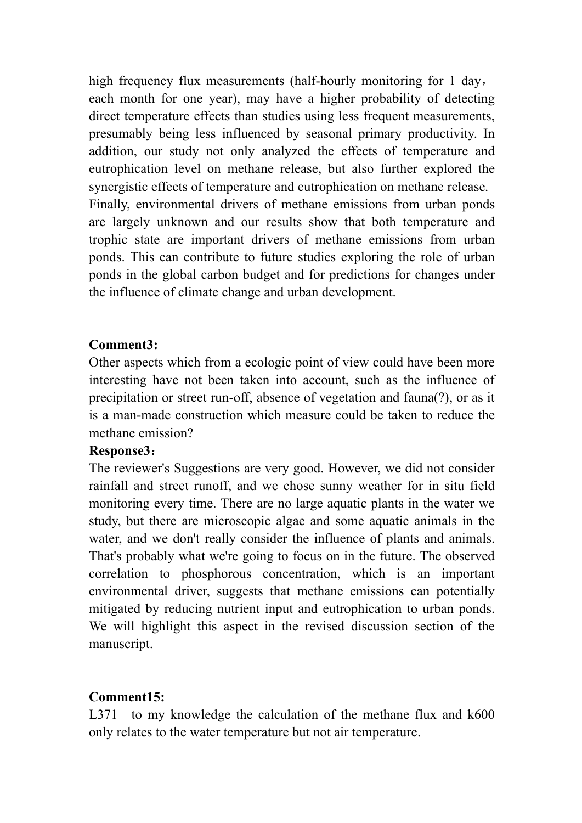high frequency flux measurements (half-hourly monitoring for 1 day, each month for one year), may have a higher probability of detecting direct temperature effects than studies using less frequent measurements, presumably being less influenced by seasonal primary productivity. In addition, our study not only analyzed the effects of temperature and eutrophication level on methane release, but also further explored the synergistic effects of temperature and eutrophication on methane release. Finally, environmental drivers of methane emissions from urban ponds are largely unknown and our results show that both temperature and trophic state are important drivers of methane emissions from urban ponds. This can contribute to future studies exploring the role of urban ponds in the global carbon budget and for predictions for changes under the influence of climate change and urban development.

### **Comment3:**

Other aspects which from a ecologic point of view could have been more interesting have not been taken into account, such as the influence of precipitation or street run-off, absence of vegetation and fauna(?), or as it is a man-made construction which measure could be taken to reduce the methane emission?

#### **Response3**:

The reviewer's Suggestions are very good. However, we did not consider rainfall and street runoff, and we chose sunny weather for in situ field monitoring every time. There are no large aquatic plants in the water we study, but there are microscopic algae and some aquatic animals in the water, and we don't really consider the influence of plants and animals. That's probably what we're going to focus on in the future. The observed correlation to phosphorous concentration, which is an important environmental driver, suggests that methane emissions can potentially mitigated by reducing nutrient input and eutrophication to urban ponds. We will highlight this aspect in the revised discussion section of the manuscript.

# **Comment15:**

L371 to my knowledge the calculation of the methane flux and k600 only relates to the water temperature but not air temperature.